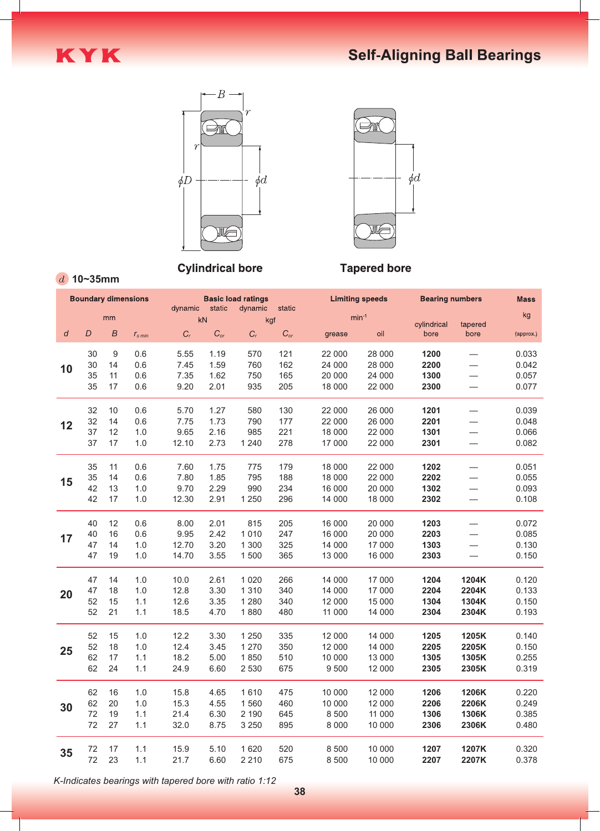





**Cylindrical bore** 



## **Tapered bore**

**10~35mm**

| <b>Boundary dimensions</b> |    |    | <b>Basic load ratings</b><br>dynamic<br>dynamic<br>static<br>static |       |          |                  |          | <b>Limiting speeds</b> |         | <b>Bearing numbers</b> |                                  |           |
|----------------------------|----|----|---------------------------------------------------------------------|-------|----------|------------------|----------|------------------------|---------|------------------------|----------------------------------|-----------|
|                            |    | mm |                                                                     |       | kN       |                  | kgf      |                        | $min-1$ |                        |                                  | kg        |
| $\boldsymbol{d}$           | D  | B  | $r_{\rm s\,min}$                                                    | $C_r$ | $C_{or}$ | $\mathfrak{C}_r$ | $C_{or}$ | grease                 | oil     | cylindrical<br>bore    | tapered<br>bore                  | (approx.) |
|                            | 30 | 9  | 0.6                                                                 | 5.55  | 1.19     | 570              | 121      | 22 000                 | 28 000  | 1200                   | $\overbrace{\phantom{12322111}}$ | 0.033     |
| 10                         | 30 | 14 | 0.6                                                                 | 7.45  | 1.59     | 760              | 162      | 24 000                 | 28 000  | 2200                   | $\overbrace{\phantom{12322111}}$ | 0.042     |
|                            | 35 | 11 | 0.6                                                                 | 7.35  | 1.62     | 750              | 165      | 20 000                 | 24 000  | 1300                   | $\overline{\phantom{m}}$         | 0.057     |
|                            | 35 | 17 | 0.6                                                                 | 9.20  | 2.01     | 935              | 205      | 18 000                 | 22 000  | 2300                   | $\overbrace{\phantom{12322111}}$ | 0.077     |
|                            | 32 | 10 | 0.6                                                                 | 5.70  | 1.27     | 580              | 130      | 22 000                 | 26 000  | 1201                   | $\overline{\phantom{0}}$         | 0.039     |
|                            | 32 | 14 | 0.6                                                                 | 7.75  | 1.73     | 790              | 177      | 22 000                 | 26 000  | 2201                   | $\overline{\phantom{m}}$         | 0.048     |
| 12                         | 37 | 12 | 1.0                                                                 | 9.65  | 2.16     | 985              | 221      | 18 000                 | 22 000  | 1301                   |                                  | 0.066     |
|                            | 37 | 17 | 1.0                                                                 | 12.10 | 2.73     | 1 2 4 0          | 278      | 17 000                 | 22 000  | 2301                   | $\overline{\phantom{m}}$         | 0.082     |
|                            | 35 | 11 | 0.6                                                                 | 7.60  | 1.75     | 775              | 179      | 18 000                 | 22 000  | 1202                   | $\overline{\phantom{m}}$         | 0.051     |
|                            | 35 | 14 | 0.6                                                                 | 7.80  | 1.85     | 795              | 188      | 18 000                 | 22 000  | 2202                   |                                  | 0.055     |
| 15                         | 42 | 13 | 1.0                                                                 | 9.70  | 2.29     | 990              | 234      | 16 000                 | 20 000  | 1302                   | $\overline{\phantom{m}}$         | 0.093     |
|                            | 42 | 17 | 1.0                                                                 | 12.30 | 2.91     | 1 2 5 0          | 296      | 14 000                 | 18 000  | 2302                   | $\overline{\phantom{m}}$         | 0.108     |
|                            | 40 | 12 | 0.6                                                                 | 8.00  | 2.01     | 815              | 205      | 16 000                 | 20 000  | 1203                   | $\overline{\phantom{m}}$         | 0.072     |
| 17                         | 40 | 16 | 0.6                                                                 | 9.95  | 2.42     | 1 0 1 0          | 247      | 16 000                 | 20 000  | 2203                   |                                  | 0.085     |
|                            | 47 | 14 | 1.0                                                                 | 12.70 | 3.20     | 1 3 0 0          | 325      | 14 000                 | 17 000  | 1303                   | $\hspace{0.1mm}-\hspace{0.1mm}$  | 0.130     |
|                            | 47 | 19 | 1.0                                                                 | 14.70 | 3.55     | 1 500            | 365      | 13 000                 | 16 000  | 2303                   | $\hspace{0.1mm}-\hspace{0.1mm}$  | 0.150     |
|                            | 47 | 14 | 1.0                                                                 | 10.0  | 2.61     | 1 0 2 0          | 266      | 14 000                 | 17 000  | 1204                   | 1204K                            | 0.120     |
| 20                         | 47 | 18 | 1.0                                                                 | 12.8  | 3.30     | 1 3 1 0          | 340      | 14 000                 | 17 000  | 2204                   | 2204K                            | 0.133     |
|                            | 52 | 15 | 1.1                                                                 | 12.6  | 3.35     | 1 2 8 0          | 340      | 12 000                 | 15 000  | 1304                   | 1304K                            | 0.150     |
|                            | 52 | 21 | 1.1                                                                 | 18.5  | 4.70     | 1880             | 480      | 11 000                 | 14 000  | 2304                   | 2304K                            | 0.193     |
|                            | 52 | 15 | 1.0                                                                 | 12.2  | 3.30     | 1 2 5 0          | 335      | 12 000                 | 14 000  | 1205                   | 1205K                            | 0.140     |
| 25                         | 52 | 18 | 1.0                                                                 | 12.4  | 3.45     | 1 2 7 0          | 350      | 12 000                 | 14 000  | 2205                   | 2205K                            | 0.150     |
|                            | 62 | 17 | 1.1                                                                 | 18.2  | 5.00     | 1850             | 510      | 10 000                 | 13 000  | 1305                   | 1305K                            | 0.255     |
|                            | 62 | 24 | 1.1                                                                 | 24.9  | 6.60     | 2 5 3 0          | 675      | 9 5 0 0                | 12 000  | 2305                   | 2305K                            | 0.319     |
|                            | 62 | 16 | 1.0                                                                 | 15.8  | 4.65     | 1610             | 475      | 10 000                 | 12 000  | 1206                   | 1206K                            | 0.220     |
| 30                         | 62 | 20 | 1.0                                                                 | 15.3  | 4.55     | 1560             | 460      | 10 000                 | 12 000  | 2206                   | 2206K                            | 0.249     |
|                            | 72 | 19 | 1.1                                                                 | 21.4  | 6.30     | 2 1 9 0          | 645      | 8 5 0 0                | 11 000  | 1306                   | 1306K                            | 0.385     |
|                            | 72 | 27 | 1.1                                                                 | 32.0  | 8.75     | 3 2 5 0          | 895      | 8 0 0 0                | 10 000  | 2306                   | 2306K                            | 0.480     |
| 35                         | 72 | 17 | 1.1                                                                 | 15.9  | 5.10     | 1 6 2 0          | 520      | 8 5 0 0                | 10 000  | 1207                   | 1207K                            | 0.320     |
|                            | 72 | 23 | 1.1                                                                 | 21.7  | 6.60     | 2 2 1 0          | 675      | 8 5 0 0                | 10 000  | 2207                   | 2207K                            | 0.378     |

*K-Indicates bearings with tapered bore with ratio 1:12*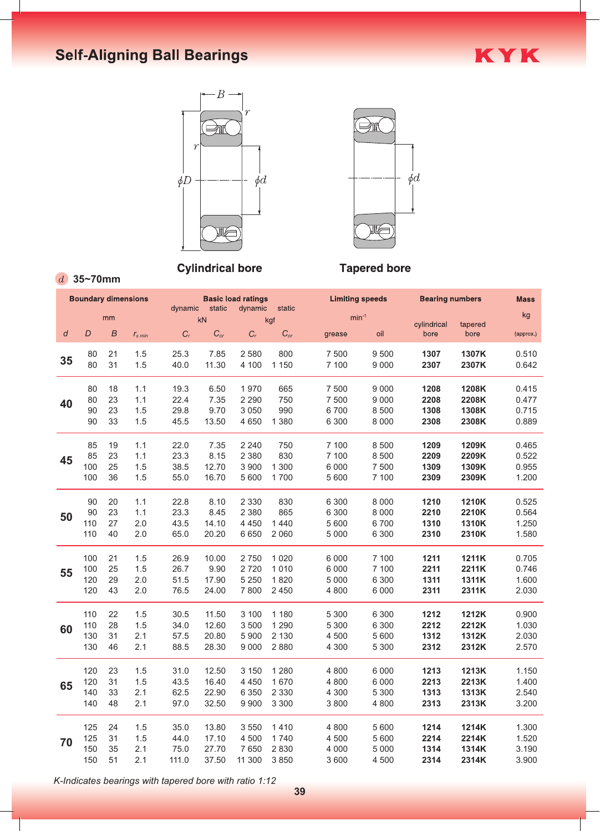## **Self-Aligning Ball Bearings**





KYK

## **Tapered bore**

**35~70mm**

| $min^{-1}$<br>mm<br>kN<br>kgf<br>cylindrical<br>tapered<br>$\overline{B}$<br>$C_{or}$<br>D<br>$C_r$<br>$C_{or}$<br>$C_r$<br>oil<br>bore<br>grease<br>bore<br>d<br>$r_{\rm s\,min}$<br>80<br>21<br>2 5 8 0<br>800<br>9 500<br>1307<br>1307K<br>1.5<br>25.3<br>7.85<br>7 500<br>35<br>80<br>31<br>1.5<br>11.30<br>4 100 1 150<br>40.0<br>7 100<br>9 0 0 0<br>2307<br>2307K<br>80<br>18<br>1.1<br>19.3<br>6.50<br>1 970<br>665<br>7 500<br>9 0 0 0<br>1208<br>1208K<br>80<br>7.35<br>23<br>22.4<br>2 2 9 0<br>750<br>7 500<br>9 0 0 0<br>2208<br>2208K<br>1.1<br>40<br>23<br>9.70<br>3 0 5 0<br>990<br>90<br>1.5<br>29.8<br>6700<br>8 5 0 0<br>1308<br>1308K<br>33<br>90<br>1.5<br>13.50<br>4 650 1 380<br>8 0 0 0<br>45.5<br>6 3 0 0<br>2308<br>2308K<br>1209K<br>85<br>19<br>1.1<br>22.0<br>7.35<br>2 2 4 0<br>750<br>7 100<br>8 500<br>1209<br>2 3 8 0<br>830<br>85<br>23<br>23.3<br>8.15<br>7 100<br>8 5 0 0<br>2209<br>2209K<br>1.1<br>45<br>25<br>12.70<br>3 9 0 0<br>1 3 0 0<br>7 500<br>100<br>1.5<br>38.5<br>6 0 0 0<br>1309<br>1309K<br>100<br>36<br>1.5<br>55.0<br>16.70<br>5 600 1 700<br>5 600<br>7 100<br>2309<br>2309K<br>90<br>20<br>22.8<br>8.10<br>2 3 3 0<br>830<br>6 3 0 0<br>8 0 0 0<br>1210<br>1210K<br>1.1<br>23<br>2 3 8 0<br>90<br>8.45<br>865<br>2210K<br>1.1<br>23.3<br>6 3 0 0<br>8 0 0 0<br>2210<br>50<br>27<br>2.0<br>4 4 5 0<br>6700<br>110<br>43.5<br>14.10<br>1440<br>5 600<br>1310<br>1310K<br>20.20<br>6 650 2 060<br>110 40<br>2.0<br>65.0<br>5 0 0 0<br>6 3 0 0<br>2310<br>2310K<br>2 750 1 0 20<br>100 21<br>10.00<br>7 100<br>1211<br>1211K<br>1.5<br>26.9<br>6 0 0 0<br>100<br>25<br>9.90<br>2 720 1 0 10<br>6 0 0 0<br>7 100<br>2211<br>2211K<br>1.5<br>26.7<br>55<br>2.0<br>17.90<br>5 250 1 820<br>1311<br>1311K<br>120<br>29<br>51.5<br>5 0 0 0<br>6 3 0 0<br>2.0<br>120<br>43<br>76.5<br>24.00<br>7 800 2 450<br>4 8 0 0<br>6 0 0 0<br>2311<br>2311K<br>110 22<br>3 100 1 180<br>11.50<br>1212K<br>1.5<br>30.5<br>5 3 0 0<br>6 3 0 0<br>1212<br>28<br>110<br>1.5<br>34.0<br>12.60<br>3 500 1 290<br>5 3 0 0<br>6 3 0 0<br>2212<br>2212K<br>60<br>31<br>2.1<br>57.5<br>20.80<br>5 900 2 130<br>4 500<br>1312<br>1312K<br>130<br>5 600<br>130<br>46<br>2.1<br>88.5<br>28.30<br>9 0 00 2 8 8 0<br>4 3 0 0<br>5 3 0 0<br>2312<br>2312K<br>120<br>23<br>12.50<br>3 150 1 280<br>4 800<br>6 0 0 0<br>1213<br>1213K<br>1.5<br>31.0<br>120<br>16.40<br>4 4 50 1 6 70<br>2213<br>2213K<br>31<br>1.5<br>43.5<br>4 8 0 0<br>6 0 0 0<br>65<br>140<br>33<br>2.1<br>22.90<br>6 350 2 330<br>4 3 0 0<br>5 3 0 0<br>1313<br>1313K<br>62.5<br>48<br>2.1<br>97.0<br>32.50<br>9 9 0 3 3 3 0 0<br>3 8 0 0<br>4 8 0 0<br>140<br>2313<br>2313K<br>125<br>3 550 1 410<br>1214K<br>24<br>1.5<br>35.0<br>13.80<br>4 8 0 0<br>5 600<br>1214<br>4 500 1 740<br>125<br>31<br>17.10<br>4 500<br>5 600<br>2214<br>2214K<br>1.5<br>44.0<br>70<br>7 650 2 830<br>35<br>2.1<br>27.70<br>150<br>75.0<br>4 0 0 0<br>5 0 0 0<br>1314<br>1314K<br>37.50 11 300 3 850<br>150 | <b>Mass</b>    |       | <b>Bearing numbers</b> |       | <b>Limiting speeds</b> |  | <b>Basic load ratings</b><br>dynamic static<br>dynamic static |  |       |     |    | <b>Boundary dimensions</b> |  |  |  |  |
|----------------------------------------------------------------------------------------------------------------------------------------------------------------------------------------------------------------------------------------------------------------------------------------------------------------------------------------------------------------------------------------------------------------------------------------------------------------------------------------------------------------------------------------------------------------------------------------------------------------------------------------------------------------------------------------------------------------------------------------------------------------------------------------------------------------------------------------------------------------------------------------------------------------------------------------------------------------------------------------------------------------------------------------------------------------------------------------------------------------------------------------------------------------------------------------------------------------------------------------------------------------------------------------------------------------------------------------------------------------------------------------------------------------------------------------------------------------------------------------------------------------------------------------------------------------------------------------------------------------------------------------------------------------------------------------------------------------------------------------------------------------------------------------------------------------------------------------------------------------------------------------------------------------------------------------------------------------------------------------------------------------------------------------------------------------------------------------------------------------------------------------------------------------------------------------------------------------------------------------------------------------------------------------------------------------------------------------------------------------------------------------------------------------------------------------------------------------------------------------------------------------------------------------------------------------------------------------------------------------------------------------------------------------------------------------------------------------------------------------------------------------------------------------------------------------------------------------------------------------------------------------------------------------------------------------------------------------------------------|----------------|-------|------------------------|-------|------------------------|--|---------------------------------------------------------------|--|-------|-----|----|----------------------------|--|--|--|--|
|                                                                                                                                                                                                                                                                                                                                                                                                                                                                                                                                                                                                                                                                                                                                                                                                                                                                                                                                                                                                                                                                                                                                                                                                                                                                                                                                                                                                                                                                                                                                                                                                                                                                                                                                                                                                                                                                                                                                                                                                                                                                                                                                                                                                                                                                                                                                                                                                                                                                                                                                                                                                                                                                                                                                                                                                                                                                                                                                                                                  | kg             |       |                        |       |                        |  |                                                               |  |       |     |    |                            |  |  |  |  |
|                                                                                                                                                                                                                                                                                                                                                                                                                                                                                                                                                                                                                                                                                                                                                                                                                                                                                                                                                                                                                                                                                                                                                                                                                                                                                                                                                                                                                                                                                                                                                                                                                                                                                                                                                                                                                                                                                                                                                                                                                                                                                                                                                                                                                                                                                                                                                                                                                                                                                                                                                                                                                                                                                                                                                                                                                                                                                                                                                                                  | (approx.)      |       |                        |       |                        |  |                                                               |  |       |     |    |                            |  |  |  |  |
|                                                                                                                                                                                                                                                                                                                                                                                                                                                                                                                                                                                                                                                                                                                                                                                                                                                                                                                                                                                                                                                                                                                                                                                                                                                                                                                                                                                                                                                                                                                                                                                                                                                                                                                                                                                                                                                                                                                                                                                                                                                                                                                                                                                                                                                                                                                                                                                                                                                                                                                                                                                                                                                                                                                                                                                                                                                                                                                                                                                  | 0.510          |       |                        |       |                        |  |                                                               |  |       |     |    |                            |  |  |  |  |
|                                                                                                                                                                                                                                                                                                                                                                                                                                                                                                                                                                                                                                                                                                                                                                                                                                                                                                                                                                                                                                                                                                                                                                                                                                                                                                                                                                                                                                                                                                                                                                                                                                                                                                                                                                                                                                                                                                                                                                                                                                                                                                                                                                                                                                                                                                                                                                                                                                                                                                                                                                                                                                                                                                                                                                                                                                                                                                                                                                                  | 0.642          |       |                        |       |                        |  |                                                               |  |       |     |    |                            |  |  |  |  |
|                                                                                                                                                                                                                                                                                                                                                                                                                                                                                                                                                                                                                                                                                                                                                                                                                                                                                                                                                                                                                                                                                                                                                                                                                                                                                                                                                                                                                                                                                                                                                                                                                                                                                                                                                                                                                                                                                                                                                                                                                                                                                                                                                                                                                                                                                                                                                                                                                                                                                                                                                                                                                                                                                                                                                                                                                                                                                                                                                                                  | 0.415          |       |                        |       |                        |  |                                                               |  |       |     |    |                            |  |  |  |  |
|                                                                                                                                                                                                                                                                                                                                                                                                                                                                                                                                                                                                                                                                                                                                                                                                                                                                                                                                                                                                                                                                                                                                                                                                                                                                                                                                                                                                                                                                                                                                                                                                                                                                                                                                                                                                                                                                                                                                                                                                                                                                                                                                                                                                                                                                                                                                                                                                                                                                                                                                                                                                                                                                                                                                                                                                                                                                                                                                                                                  | 0.477          |       |                        |       |                        |  |                                                               |  |       |     |    |                            |  |  |  |  |
|                                                                                                                                                                                                                                                                                                                                                                                                                                                                                                                                                                                                                                                                                                                                                                                                                                                                                                                                                                                                                                                                                                                                                                                                                                                                                                                                                                                                                                                                                                                                                                                                                                                                                                                                                                                                                                                                                                                                                                                                                                                                                                                                                                                                                                                                                                                                                                                                                                                                                                                                                                                                                                                                                                                                                                                                                                                                                                                                                                                  | 0.715          |       |                        |       |                        |  |                                                               |  |       |     |    |                            |  |  |  |  |
|                                                                                                                                                                                                                                                                                                                                                                                                                                                                                                                                                                                                                                                                                                                                                                                                                                                                                                                                                                                                                                                                                                                                                                                                                                                                                                                                                                                                                                                                                                                                                                                                                                                                                                                                                                                                                                                                                                                                                                                                                                                                                                                                                                                                                                                                                                                                                                                                                                                                                                                                                                                                                                                                                                                                                                                                                                                                                                                                                                                  | 0.889          |       |                        |       |                        |  |                                                               |  |       |     |    |                            |  |  |  |  |
|                                                                                                                                                                                                                                                                                                                                                                                                                                                                                                                                                                                                                                                                                                                                                                                                                                                                                                                                                                                                                                                                                                                                                                                                                                                                                                                                                                                                                                                                                                                                                                                                                                                                                                                                                                                                                                                                                                                                                                                                                                                                                                                                                                                                                                                                                                                                                                                                                                                                                                                                                                                                                                                                                                                                                                                                                                                                                                                                                                                  | 0.465          |       |                        |       |                        |  |                                                               |  |       |     |    |                            |  |  |  |  |
|                                                                                                                                                                                                                                                                                                                                                                                                                                                                                                                                                                                                                                                                                                                                                                                                                                                                                                                                                                                                                                                                                                                                                                                                                                                                                                                                                                                                                                                                                                                                                                                                                                                                                                                                                                                                                                                                                                                                                                                                                                                                                                                                                                                                                                                                                                                                                                                                                                                                                                                                                                                                                                                                                                                                                                                                                                                                                                                                                                                  | 0.522          |       |                        |       |                        |  |                                                               |  |       |     |    |                            |  |  |  |  |
|                                                                                                                                                                                                                                                                                                                                                                                                                                                                                                                                                                                                                                                                                                                                                                                                                                                                                                                                                                                                                                                                                                                                                                                                                                                                                                                                                                                                                                                                                                                                                                                                                                                                                                                                                                                                                                                                                                                                                                                                                                                                                                                                                                                                                                                                                                                                                                                                                                                                                                                                                                                                                                                                                                                                                                                                                                                                                                                                                                                  | 0.955          |       |                        |       |                        |  |                                                               |  |       |     |    |                            |  |  |  |  |
|                                                                                                                                                                                                                                                                                                                                                                                                                                                                                                                                                                                                                                                                                                                                                                                                                                                                                                                                                                                                                                                                                                                                                                                                                                                                                                                                                                                                                                                                                                                                                                                                                                                                                                                                                                                                                                                                                                                                                                                                                                                                                                                                                                                                                                                                                                                                                                                                                                                                                                                                                                                                                                                                                                                                                                                                                                                                                                                                                                                  | 1.200          |       |                        |       |                        |  |                                                               |  |       |     |    |                            |  |  |  |  |
|                                                                                                                                                                                                                                                                                                                                                                                                                                                                                                                                                                                                                                                                                                                                                                                                                                                                                                                                                                                                                                                                                                                                                                                                                                                                                                                                                                                                                                                                                                                                                                                                                                                                                                                                                                                                                                                                                                                                                                                                                                                                                                                                                                                                                                                                                                                                                                                                                                                                                                                                                                                                                                                                                                                                                                                                                                                                                                                                                                                  | 0.525          |       |                        |       |                        |  |                                                               |  |       |     |    |                            |  |  |  |  |
|                                                                                                                                                                                                                                                                                                                                                                                                                                                                                                                                                                                                                                                                                                                                                                                                                                                                                                                                                                                                                                                                                                                                                                                                                                                                                                                                                                                                                                                                                                                                                                                                                                                                                                                                                                                                                                                                                                                                                                                                                                                                                                                                                                                                                                                                                                                                                                                                                                                                                                                                                                                                                                                                                                                                                                                                                                                                                                                                                                                  | 0.564          |       |                        |       |                        |  |                                                               |  |       |     |    |                            |  |  |  |  |
|                                                                                                                                                                                                                                                                                                                                                                                                                                                                                                                                                                                                                                                                                                                                                                                                                                                                                                                                                                                                                                                                                                                                                                                                                                                                                                                                                                                                                                                                                                                                                                                                                                                                                                                                                                                                                                                                                                                                                                                                                                                                                                                                                                                                                                                                                                                                                                                                                                                                                                                                                                                                                                                                                                                                                                                                                                                                                                                                                                                  | 1.250          |       |                        |       |                        |  |                                                               |  |       |     |    |                            |  |  |  |  |
|                                                                                                                                                                                                                                                                                                                                                                                                                                                                                                                                                                                                                                                                                                                                                                                                                                                                                                                                                                                                                                                                                                                                                                                                                                                                                                                                                                                                                                                                                                                                                                                                                                                                                                                                                                                                                                                                                                                                                                                                                                                                                                                                                                                                                                                                                                                                                                                                                                                                                                                                                                                                                                                                                                                                                                                                                                                                                                                                                                                  | 1.580          |       |                        |       |                        |  |                                                               |  |       |     |    |                            |  |  |  |  |
|                                                                                                                                                                                                                                                                                                                                                                                                                                                                                                                                                                                                                                                                                                                                                                                                                                                                                                                                                                                                                                                                                                                                                                                                                                                                                                                                                                                                                                                                                                                                                                                                                                                                                                                                                                                                                                                                                                                                                                                                                                                                                                                                                                                                                                                                                                                                                                                                                                                                                                                                                                                                                                                                                                                                                                                                                                                                                                                                                                                  |                |       |                        |       |                        |  |                                                               |  |       |     |    |                            |  |  |  |  |
|                                                                                                                                                                                                                                                                                                                                                                                                                                                                                                                                                                                                                                                                                                                                                                                                                                                                                                                                                                                                                                                                                                                                                                                                                                                                                                                                                                                                                                                                                                                                                                                                                                                                                                                                                                                                                                                                                                                                                                                                                                                                                                                                                                                                                                                                                                                                                                                                                                                                                                                                                                                                                                                                                                                                                                                                                                                                                                                                                                                  | 0.705<br>0.746 |       |                        |       |                        |  |                                                               |  |       |     |    |                            |  |  |  |  |
|                                                                                                                                                                                                                                                                                                                                                                                                                                                                                                                                                                                                                                                                                                                                                                                                                                                                                                                                                                                                                                                                                                                                                                                                                                                                                                                                                                                                                                                                                                                                                                                                                                                                                                                                                                                                                                                                                                                                                                                                                                                                                                                                                                                                                                                                                                                                                                                                                                                                                                                                                                                                                                                                                                                                                                                                                                                                                                                                                                                  | 1.600          |       |                        |       |                        |  |                                                               |  |       |     |    |                            |  |  |  |  |
|                                                                                                                                                                                                                                                                                                                                                                                                                                                                                                                                                                                                                                                                                                                                                                                                                                                                                                                                                                                                                                                                                                                                                                                                                                                                                                                                                                                                                                                                                                                                                                                                                                                                                                                                                                                                                                                                                                                                                                                                                                                                                                                                                                                                                                                                                                                                                                                                                                                                                                                                                                                                                                                                                                                                                                                                                                                                                                                                                                                  | 2.030          |       |                        |       |                        |  |                                                               |  |       |     |    |                            |  |  |  |  |
|                                                                                                                                                                                                                                                                                                                                                                                                                                                                                                                                                                                                                                                                                                                                                                                                                                                                                                                                                                                                                                                                                                                                                                                                                                                                                                                                                                                                                                                                                                                                                                                                                                                                                                                                                                                                                                                                                                                                                                                                                                                                                                                                                                                                                                                                                                                                                                                                                                                                                                                                                                                                                                                                                                                                                                                                                                                                                                                                                                                  |                |       |                        |       |                        |  |                                                               |  |       |     |    |                            |  |  |  |  |
|                                                                                                                                                                                                                                                                                                                                                                                                                                                                                                                                                                                                                                                                                                                                                                                                                                                                                                                                                                                                                                                                                                                                                                                                                                                                                                                                                                                                                                                                                                                                                                                                                                                                                                                                                                                                                                                                                                                                                                                                                                                                                                                                                                                                                                                                                                                                                                                                                                                                                                                                                                                                                                                                                                                                                                                                                                                                                                                                                                                  | 0.900<br>1.030 |       |                        |       |                        |  |                                                               |  |       |     |    |                            |  |  |  |  |
|                                                                                                                                                                                                                                                                                                                                                                                                                                                                                                                                                                                                                                                                                                                                                                                                                                                                                                                                                                                                                                                                                                                                                                                                                                                                                                                                                                                                                                                                                                                                                                                                                                                                                                                                                                                                                                                                                                                                                                                                                                                                                                                                                                                                                                                                                                                                                                                                                                                                                                                                                                                                                                                                                                                                                                                                                                                                                                                                                                                  | 2.030          |       |                        |       |                        |  |                                                               |  |       |     |    |                            |  |  |  |  |
|                                                                                                                                                                                                                                                                                                                                                                                                                                                                                                                                                                                                                                                                                                                                                                                                                                                                                                                                                                                                                                                                                                                                                                                                                                                                                                                                                                                                                                                                                                                                                                                                                                                                                                                                                                                                                                                                                                                                                                                                                                                                                                                                                                                                                                                                                                                                                                                                                                                                                                                                                                                                                                                                                                                                                                                                                                                                                                                                                                                  | 2.570          |       |                        |       |                        |  |                                                               |  |       |     |    |                            |  |  |  |  |
|                                                                                                                                                                                                                                                                                                                                                                                                                                                                                                                                                                                                                                                                                                                                                                                                                                                                                                                                                                                                                                                                                                                                                                                                                                                                                                                                                                                                                                                                                                                                                                                                                                                                                                                                                                                                                                                                                                                                                                                                                                                                                                                                                                                                                                                                                                                                                                                                                                                                                                                                                                                                                                                                                                                                                                                                                                                                                                                                                                                  |                |       |                        |       |                        |  |                                                               |  |       |     |    |                            |  |  |  |  |
|                                                                                                                                                                                                                                                                                                                                                                                                                                                                                                                                                                                                                                                                                                                                                                                                                                                                                                                                                                                                                                                                                                                                                                                                                                                                                                                                                                                                                                                                                                                                                                                                                                                                                                                                                                                                                                                                                                                                                                                                                                                                                                                                                                                                                                                                                                                                                                                                                                                                                                                                                                                                                                                                                                                                                                                                                                                                                                                                                                                  | 1.150<br>1.400 |       |                        |       |                        |  |                                                               |  |       |     |    |                            |  |  |  |  |
|                                                                                                                                                                                                                                                                                                                                                                                                                                                                                                                                                                                                                                                                                                                                                                                                                                                                                                                                                                                                                                                                                                                                                                                                                                                                                                                                                                                                                                                                                                                                                                                                                                                                                                                                                                                                                                                                                                                                                                                                                                                                                                                                                                                                                                                                                                                                                                                                                                                                                                                                                                                                                                                                                                                                                                                                                                                                                                                                                                                  | 2.540          |       |                        |       |                        |  |                                                               |  |       |     |    |                            |  |  |  |  |
|                                                                                                                                                                                                                                                                                                                                                                                                                                                                                                                                                                                                                                                                                                                                                                                                                                                                                                                                                                                                                                                                                                                                                                                                                                                                                                                                                                                                                                                                                                                                                                                                                                                                                                                                                                                                                                                                                                                                                                                                                                                                                                                                                                                                                                                                                                                                                                                                                                                                                                                                                                                                                                                                                                                                                                                                                                                                                                                                                                                  |                |       |                        |       |                        |  |                                                               |  |       |     |    |                            |  |  |  |  |
|                                                                                                                                                                                                                                                                                                                                                                                                                                                                                                                                                                                                                                                                                                                                                                                                                                                                                                                                                                                                                                                                                                                                                                                                                                                                                                                                                                                                                                                                                                                                                                                                                                                                                                                                                                                                                                                                                                                                                                                                                                                                                                                                                                                                                                                                                                                                                                                                                                                                                                                                                                                                                                                                                                                                                                                                                                                                                                                                                                                  |                |       |                        |       |                        |  |                                                               |  |       |     |    |                            |  |  |  |  |
|                                                                                                                                                                                                                                                                                                                                                                                                                                                                                                                                                                                                                                                                                                                                                                                                                                                                                                                                                                                                                                                                                                                                                                                                                                                                                                                                                                                                                                                                                                                                                                                                                                                                                                                                                                                                                                                                                                                                                                                                                                                                                                                                                                                                                                                                                                                                                                                                                                                                                                                                                                                                                                                                                                                                                                                                                                                                                                                                                                                  | 1.300<br>1.520 |       |                        |       |                        |  |                                                               |  |       |     |    |                            |  |  |  |  |
|                                                                                                                                                                                                                                                                                                                                                                                                                                                                                                                                                                                                                                                                                                                                                                                                                                                                                                                                                                                                                                                                                                                                                                                                                                                                                                                                                                                                                                                                                                                                                                                                                                                                                                                                                                                                                                                                                                                                                                                                                                                                                                                                                                                                                                                                                                                                                                                                                                                                                                                                                                                                                                                                                                                                                                                                                                                                                                                                                                                  |                |       |                        |       |                        |  |                                                               |  |       |     |    |                            |  |  |  |  |
|                                                                                                                                                                                                                                                                                                                                                                                                                                                                                                                                                                                                                                                                                                                                                                                                                                                                                                                                                                                                                                                                                                                                                                                                                                                                                                                                                                                                                                                                                                                                                                                                                                                                                                                                                                                                                                                                                                                                                                                                                                                                                                                                                                                                                                                                                                                                                                                                                                                                                                                                                                                                                                                                                                                                                                                                                                                                                                                                                                                  |                | 2314K | 2314                   | 4 500 | 3 600                  |  |                                                               |  | 111.0 | 2.1 | 51 |                            |  |  |  |  |

*K-Indicates bearings with tapered bore with ratio 1:12*